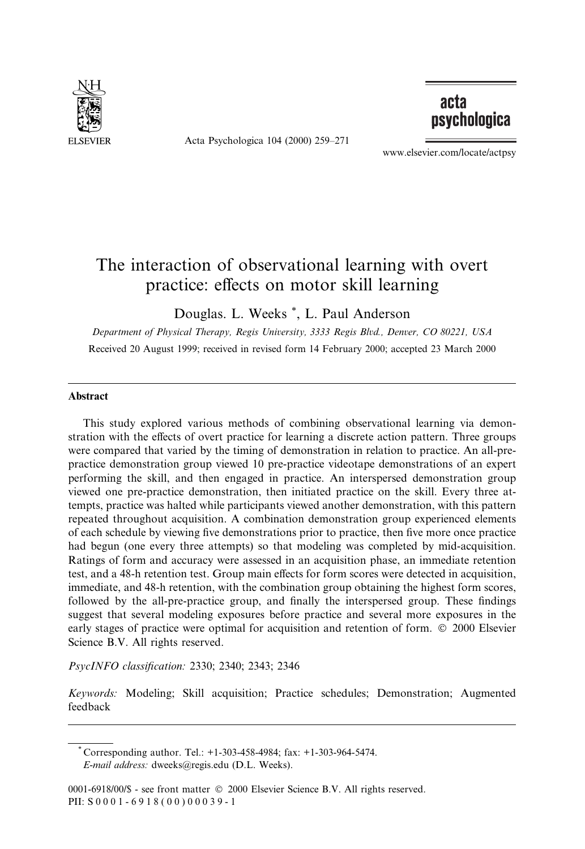

Acta Psychologica 104 (2000) 259-271

acta psychologica

www.elsevier.com/locate/actpsy

## The interaction of observational learning with overt practice: effects on motor skill learning

### Douglas. L. Weeks \* , L. Paul Anderson

Department of Physical Therapy, Regis University, 3333 Regis Blvd., Denver, CO 80221, USA Received 20 August 1999; received in revised form 14 February 2000; accepted 23 March 2000

#### Abstract

This study explored various methods of combining observational learning via demonstration with the effects of overt practice for learning a discrete action pattern. Three groups were compared that varied by the timing of demonstration in relation to practice. An all-prepractice demonstration group viewed 10 pre-practice videotape demonstrations of an expert performing the skill, and then engaged in practice. An interspersed demonstration group viewed one pre-practice demonstration, then initiated practice on the skill. Every three attempts, practice was halted while participants viewed another demonstration, with this pattern repeated throughout acquisition. A combination demonstration group experienced elements of each schedule by viewing five demonstrations prior to practice, then five more once practice had begun (one every three attempts) so that modeling was completed by mid-acquisition. Ratings of form and accuracy were assessed in an acquisition phase, an immediate retention test, and a 48-h retention test. Group main effects for form scores were detected in acquisition, immediate, and 48-h retention, with the combination group obtaining the highest form scores, followed by the all-pre-practice group, and finally the interspersed group. These findings suggest that several modeling exposures before practice and several more exposures in the early stages of practice were optimal for acquisition and retention of form. © 2000 Elsevier Science B.V. All rights reserved.

PsycINFO classification: 2330; 2340; 2343; 2346

Keywords: Modeling; Skill acquisition; Practice schedules; Demonstration; Augmented feedback

 $*$  Corresponding author. Tel.:  $+1-303-458-4984$ ; fax:  $+1-303-964-5474$ . E-mail address: dweeks@regis.edu (D.L. Weeks).

<sup>0001-6918/00/\$ -</sup> see front matter © 2000 Elsevier Science B.V. All rights reserved. PII: S 0 0 0 1 - 6918(00)00039-1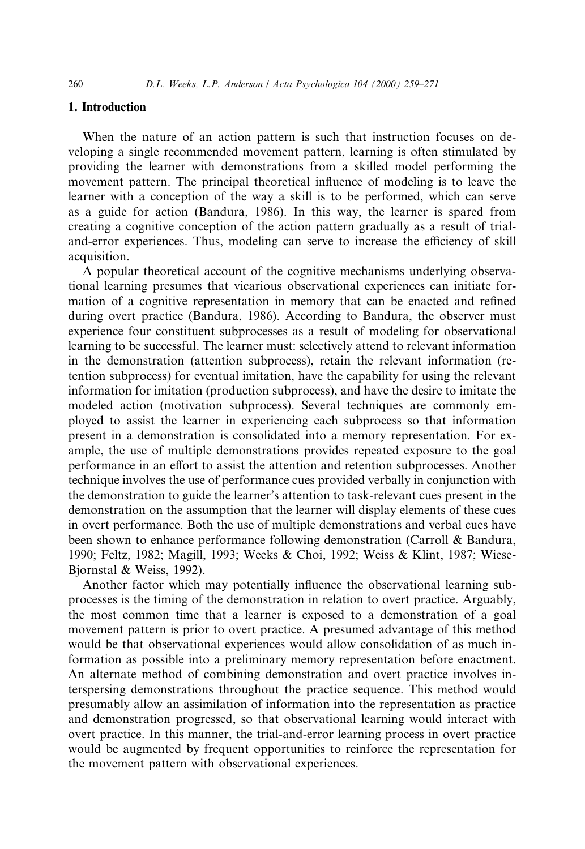#### 1. Introduction

When the nature of an action pattern is such that instruction focuses on developing a single recommended movement pattern, learning is often stimulated by providing the learner with demonstrations from a skilled model performing the movement pattern. The principal theoretical influence of modeling is to leave the learner with a conception of the way a skill is to be performed, which can serve as a guide for action (Bandura, 1986). In this way, the learner is spared from creating a cognitive conception of the action pattern gradually as a result of trialand-error experiences. Thus, modeling can serve to increase the efficiency of skill acquisition.

A popular theoretical account of the cognitive mechanisms underlying observational learning presumes that vicarious observational experiences can initiate formation of a cognitive representation in memory that can be enacted and refined during overt practice (Bandura, 1986). According to Bandura, the observer must experience four constituent subprocesses as a result of modeling for observational learning to be successful. The learner must: selectively attend to relevant information in the demonstration (attention subprocess), retain the relevant information (retention subprocess) for eventual imitation, have the capability for using the relevant information for imitation (production subprocess), and have the desire to imitate the modeled action (motivation subprocess). Several techniques are commonly employed to assist the learner in experiencing each subprocess so that information present in a demonstration is consolidated into a memory representation. For example, the use of multiple demonstrations provides repeated exposure to the goal performance in an effort to assist the attention and retention subprocesses. Another technique involves the use of performance cues provided verbally in conjunction with the demonstration to guide the learner's attention to task-relevant cues present in the demonstration on the assumption that the learner will display elements of these cues in overt performance. Both the use of multiple demonstrations and verbal cues have been shown to enhance performance following demonstration (Carroll & Bandura, 1990; Feltz, 1982; Magill, 1993; Weeks & Choi, 1992; Weiss & Klint, 1987; Wiese-Bjornstal & Weiss, 1992).

Another factor which may potentially influence the observational learning subprocesses is the timing of the demonstration in relation to overt practice. Arguably, the most common time that a learner is exposed to a demonstration of a goal movement pattern is prior to overt practice. A presumed advantage of this method would be that observational experiences would allow consolidation of as much information as possible into a preliminary memory representation before enactment. An alternate method of combining demonstration and overt practice involves interspersing demonstrations throughout the practice sequence. This method would presumably allow an assimilation of information into the representation as practice and demonstration progressed, so that observational learning would interact with overt practice. In this manner, the trial-and-error learning process in overt practice would be augmented by frequent opportunities to reinforce the representation for the movement pattern with observational experiences.